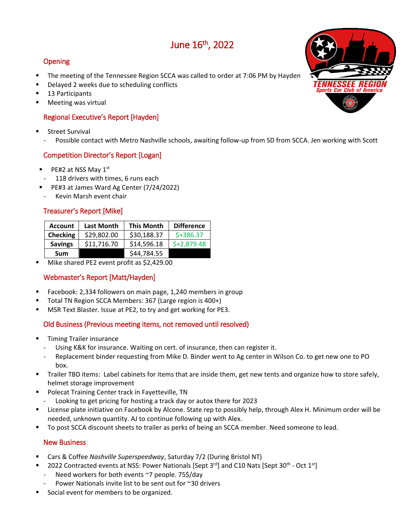# June 16th , 2022

# Opening

- The meeting of the Tennessee Region SCCA was called to order at 7:06 PM by Hayden
- Delayed 2 weeks due to scheduling conflicts
- 13 Participants
- Meeting was virtual

#### Regional Executive's Report [Hayden]

- Street Survival
	- Possible contact with Metro Nashville schools, awaiting follow-up from SD from SCCA. Jen working with Scott

### Competition Director's Report [Logan]

- PE#2 at NSS May 1<sup>st</sup>
- 118 drivers with times, 6 runs each
- PE#3 at James Ward Ag Center (7/24/2022)
- Kevin Marsh event chair

### Treasurer's Report [Mike]

| <b>Account</b>  | <b>Last Month</b> | <b>This Month</b> | <b>Difference</b> |
|-----------------|-------------------|-------------------|-------------------|
| <b>Checking</b> | \$29,802.00       | \$30,188.37       | $$+386.37$        |
| <b>Savings</b>  | \$11,716.70       | \$14,596.18       | $$+2,879.48$      |
| Sum             |                   | \$44,784.55       |                   |

Mike shared PE2 event profit as \$2,429.00

# Webmaster's Report [Matt/Hayden]

- Facebook: 2,334 followers on main page, 1,240 members in group
- Total TN Region SCCA Members: 367 (Large region is 400+)
- MSR Text Blaster. Issue at PE2, to try and get working for PE3.

#### Old Business (Previous meeting items, not removed until resolved)

- Timing Trailer insurance
	- Using K&K for insurance. Waiting on cert. of insurance, then can register it.
	- Replacement binder requesting from Mike D. Binder went to Ag center in Wilson Co. to get new one to PO box.
- Trailer TBD items: Label cabinets for items that are inside them, get new tents and organize how to store safely, helmet storage improvement
- **Polecat Training Center track in Fayetteville, TN**
- Looking to get pricing for hosting a track day or autox there for 2023
- License plate initiative on Facebook by Alcone. State rep to possibly help, through Alex H. Minimum order will be needed, unknown quantity. AJ to continue following up with Alex.
- To post SCCA discount sheets to trailer as perks of being an SCCA member. Need someone to lead.

#### New Business

- Cars & Coffee *Nashville Superspeedway*, Saturday 7/2 (During Bristol NT)
- 2022 Contracted events at NSS: Power Nationals [Sept 3<sup>rd</sup>] and C10 Nats [Sept 30<sup>th</sup> Oct 1<sup>st</sup>]
- Need workers for both events ~7 people. 75\$/day
- Power Nationals invite list to be sent out for ~30 drivers
- Social event for members to be organized.

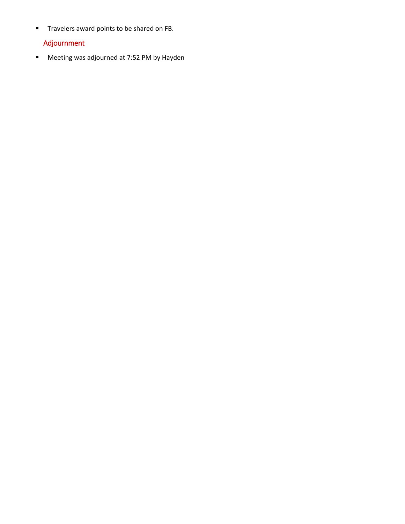**Travelers award points to be shared on FB.** 

# Adjournment

**Meeting was adjourned at 7:52 PM by Hayden**